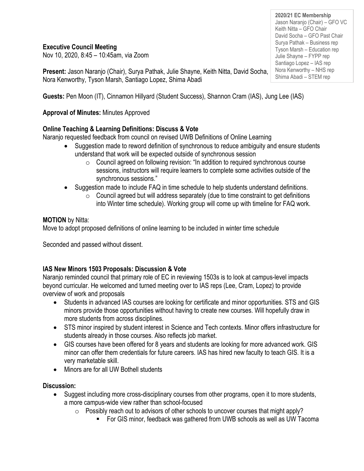# **Executive Council Meeting**

Nov 10, 2020, 8:45 – 10:45am, via Zoom

**Present:** Jason Naranjo (Chair), Surya Pathak, Julie Shayne, Keith Nitta, David Socha, Nora Kenworthy, Tyson Marsh, Santiago Lopez, Shima Abadi

**Guests:** Pen Moon (IT), Cinnamon Hillyard (Student Success), Shannon Cram (IAS), Jung Lee (IAS)

# **Approval of Minutes:** Minutes Approved

# **Online Teaching & Learning Definitions: Discuss & Vote**

Naranjo requested feedback from council on revised UWB Definitions of Online Learning

- Suggestion made to reword definition of synchronous to reduce ambiguity and ensure students understand that work will be expected outside of synchronous session
	- $\circ$  Council agreed on following revision: "In addition to required synchronous course sessions, instructors will require learners to complete some activities outside of the synchronous sessions."
- Suggestion made to include FAQ in time schedule to help students understand definitions.
	- $\circ$  Council agreed but will address separately (due to time constraint to get definitions into Winter time schedule). Working group will come up with timeline for FAQ work.

### **MOTION** by Nitta:

Move to adopt proposed definitions of online learning to be included in winter time schedule

Seconded and passed without dissent.

# **IAS New Minors 1503 Proposals: Discussion & Vote**

Naranjo reminded council that primary role of EC in reviewing 1503s is to look at campus-level impacts beyond curricular. He welcomed and turned meeting over to IAS reps (Lee, Cram, Lopez) to provide overview of work and proposals

- Students in advanced IAS courses are looking for certificate and minor opportunities. STS and GIS minors provide those opportunities without having to create new courses. Will hopefully draw in more students from across disciplines.
- STS minor inspired by student interest in Science and Tech contexts. Minor offers infrastructure for students already in those courses. Also reflects job market.
- GIS courses have been offered for 8 years and students are looking for more advanced work. GIS minor can offer them credentials for future careers. IAS has hired new faculty to teach GIS. It is a very marketable skill.
- Minors are for all UW Bothell students

#### **Discussion:**

- Suggest including more cross-disciplinary courses from other programs, open it to more students, a more campus-wide view rather than school-focused
	- $\circ$  Possibly reach out to advisors of other schools to uncover courses that might apply?
		- For GIS minor, feedback was gathered from UWB schools as well as UW Tacoma

**2020/21 EC Membership** Jason Naranjo (Chair) – GFO VC Keith Nitta – GFO Chair David Socha – GFO Past Chair Surya Pathak – Business rep Tyson Marsh – Education rep Julie Shayne – FYPP rep Santiago Lopez – IAS rep Nora Kenworthy – NHS rep Shima Abadi – STEM rep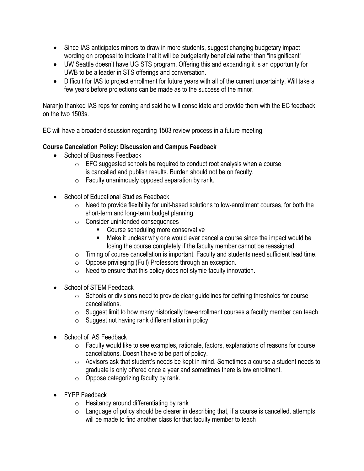- Since IAS anticipates minors to draw in more students, suggest changing budgetary impact wording on proposal to indicate that it will be budgetarily beneficial rather than "insignificant"
- UW Seattle doesn't have UG STS program. Offering this and expanding it is an opportunity for UWB to be a leader in STS offerings and conversation.
- Difficult for IAS to project enrollment for future years with all of the current uncertainty. Will take a few years before projections can be made as to the success of the minor.

Naranjo thanked IAS reps for coming and said he will consolidate and provide them with the EC feedback on the two 1503s.

EC will have a broader discussion regarding 1503 review process in a future meeting.

### **Course Cancelation Policy: Discussion and Campus Feedback**

- School of Business Feedback
	- $\circ$  EFC suggested schools be required to conduct root analysis when a course is cancelled and publish results. Burden should not be on faculty.
	- $\circ$  Faculty unanimously opposed separation by rank.
- School of Educational Studies Feedback
	- $\circ$  Need to provide flexibility for unit-based solutions to low-enrollment courses, for both the short-term and long-term budget planning.
	- o Consider unintended consequences
		- Course scheduling more conservative
		- Make it unclear why one would ever cancel a course since the impact would be losing the course completely if the faculty member cannot be reassigned.
	- o Timing of course cancellation is important. Faculty and students need sufficient lead time.
	- $\circ$  Oppose privileging (Full) Professors through an exception.
	- $\circ$  Need to ensure that this policy does not stymie faculty innovation.
- School of STEM Feedback
	- $\circ$  Schools or divisions need to provide clear quidelines for defining thresholds for course cancellations.
	- $\circ$  Suggest limit to how many historically low-enrollment courses a faculty member can teach
	- o Suggest not having rank differentiation in policy
- School of IAS Feedback
	- o Faculty would like to see examples, rationale, factors, explanations of reasons for course cancellations. Doesn't have to be part of policy.
	- o Advisors ask that student's needs be kept in mind. Sometimes a course a student needs to graduate is only offered once a year and sometimes there is low enrollment.
	- $\circ$  Oppose categorizing faculty by rank.
- FYPP Feedback
	- $\circ$  Hesitancy around differentiating by rank
	- $\circ$  Language of policy should be clearer in describing that, if a course is cancelled, attempts will be made to find another class for that faculty member to teach